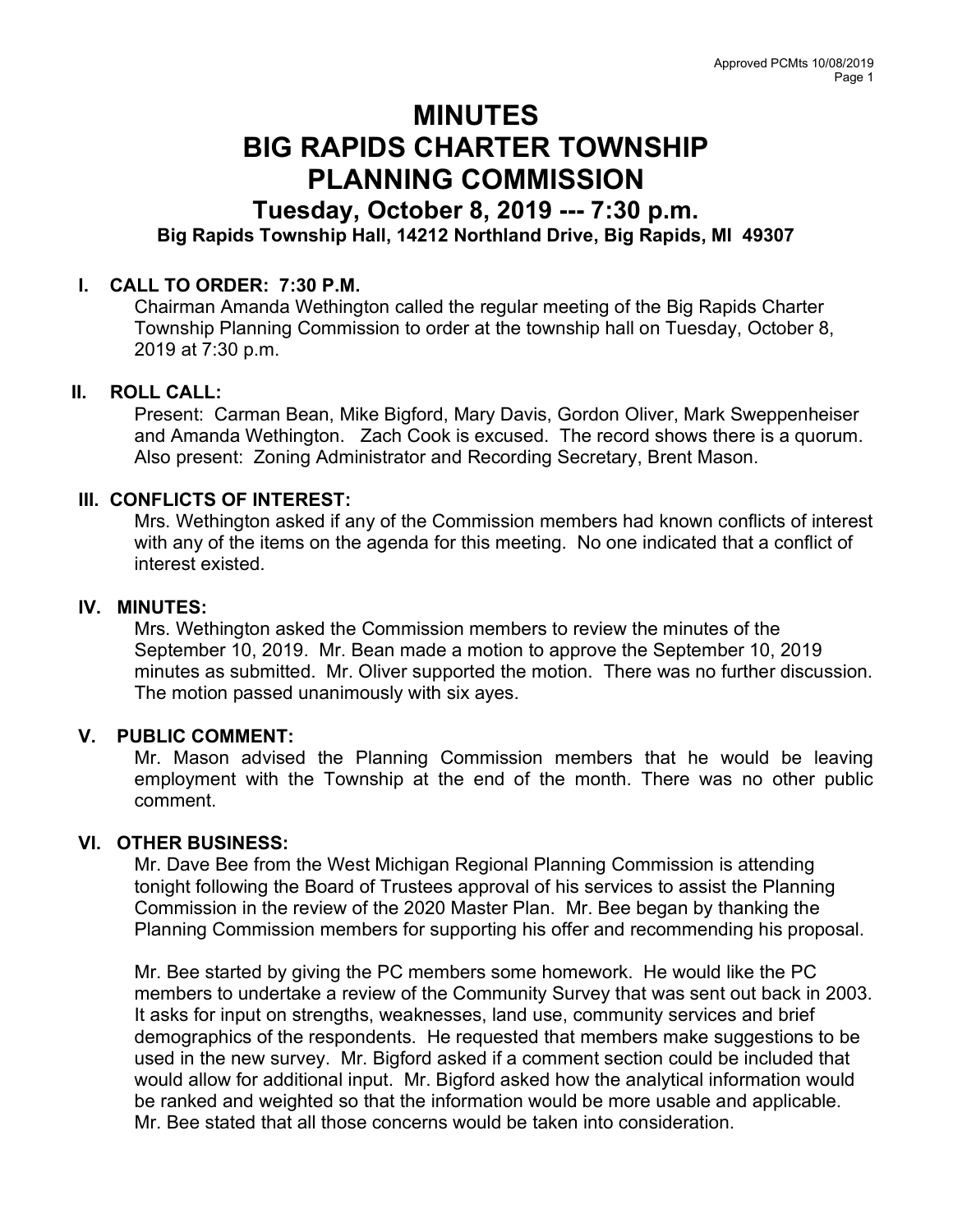# MINUTES BIG RAPIDS CHARTER TOWNSHIP PLANNING COMMISSION

# Tuesday, October 8, 2019 --- 7:30 p.m. Big Rapids Township Hall, 14212 Northland Drive, Big Rapids, MI 49307

## I. CALL TO ORDER: 7:30 P.M.

Chairman Amanda Wethington called the regular meeting of the Big Rapids Charter Township Planning Commission to order at the township hall on Tuesday, October 8, 2019 at 7:30 p.m.

## II. ROLL CALL:

Present: Carman Bean, Mike Bigford, Mary Davis, Gordon Oliver, Mark Sweppenheiser and Amanda Wethington. Zach Cook is excused. The record shows there is a quorum. Also present: Zoning Administrator and Recording Secretary, Brent Mason.

### III. CONFLICTS OF INTEREST:

Mrs. Wethington asked if any of the Commission members had known conflicts of interest with any of the items on the agenda for this meeting. No one indicated that a conflict of interest existed.

#### IV. MINUTES:

Mrs. Wethington asked the Commission members to review the minutes of the September 10, 2019. Mr. Bean made a motion to approve the September 10, 2019 minutes as submitted. Mr. Oliver supported the motion. There was no further discussion. The motion passed unanimously with six ayes.

## V. PUBLIC COMMENT:

Mr. Mason advised the Planning Commission members that he would be leaving employment with the Township at the end of the month. There was no other public comment.

#### VI. OTHER BUSINESS:

Mr. Dave Bee from the West Michigan Regional Planning Commission is attending tonight following the Board of Trustees approval of his services to assist the Planning Commission in the review of the 2020 Master Plan. Mr. Bee began by thanking the Planning Commission members for supporting his offer and recommending his proposal.

Mr. Bee started by giving the PC members some homework. He would like the PC members to undertake a review of the Community Survey that was sent out back in 2003. It asks for input on strengths, weaknesses, land use, community services and brief demographics of the respondents. He requested that members make suggestions to be used in the new survey. Mr. Bigford asked if a comment section could be included that would allow for additional input. Mr. Bigford asked how the analytical information would be ranked and weighted so that the information would be more usable and applicable. Mr. Bee stated that all those concerns would be taken into consideration.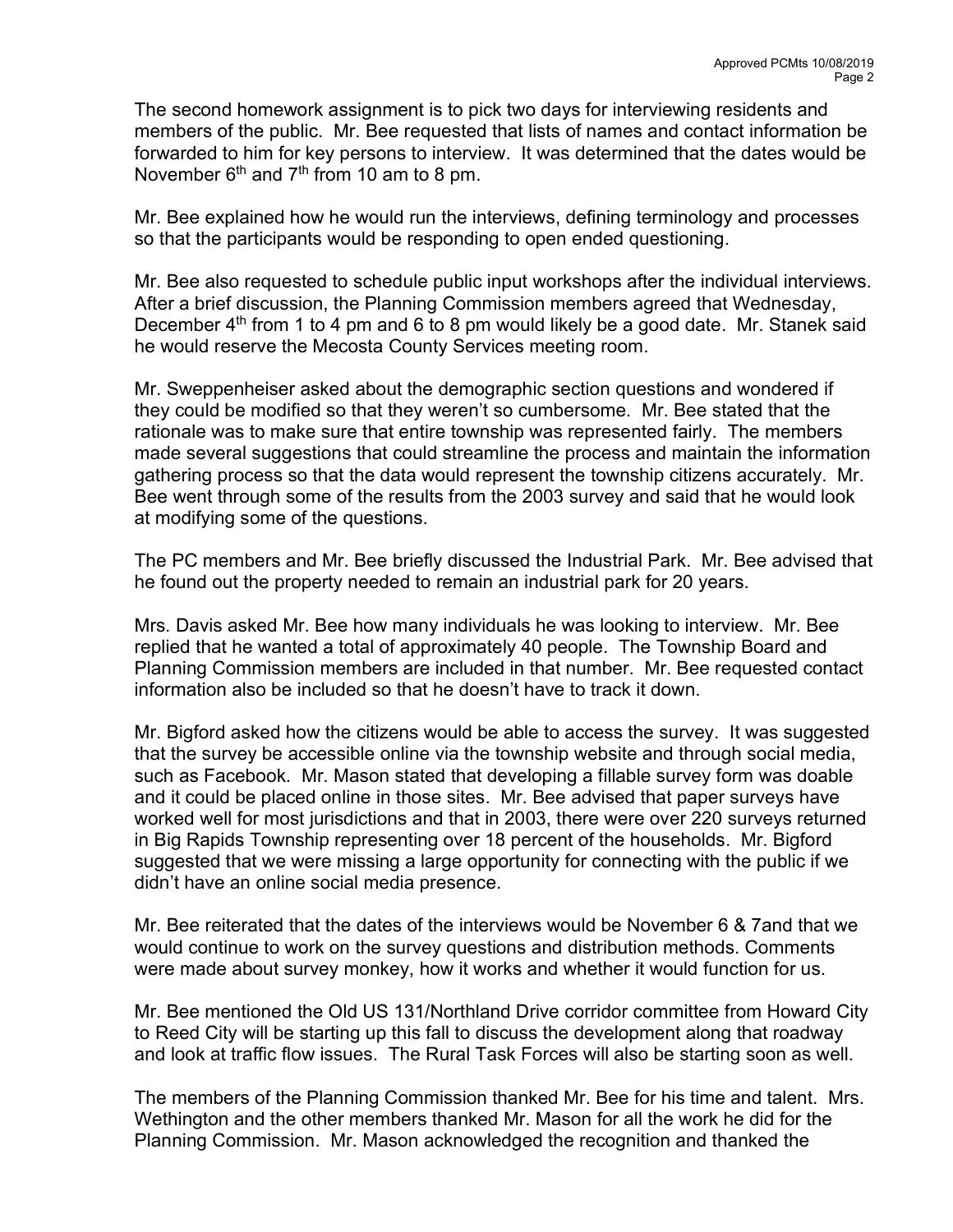The second homework assignment is to pick two days for interviewing residents and members of the public. Mr. Bee requested that lists of names and contact information be forwarded to him for key persons to interview. It was determined that the dates would be November  $6<sup>th</sup>$  and  $7<sup>th</sup>$  from 10 am to 8 pm.

Mr. Bee explained how he would run the interviews, defining terminology and processes so that the participants would be responding to open ended questioning.

Mr. Bee also requested to schedule public input workshops after the individual interviews. After a brief discussion, the Planning Commission members agreed that Wednesday, December  $4<sup>th</sup>$  from 1 to 4 pm and 6 to 8 pm would likely be a good date. Mr. Stanek said he would reserve the Mecosta County Services meeting room.

Mr. Sweppenheiser asked about the demographic section questions and wondered if they could be modified so that they weren't so cumbersome. Mr. Bee stated that the rationale was to make sure that entire township was represented fairly. The members made several suggestions that could streamline the process and maintain the information gathering process so that the data would represent the township citizens accurately. Mr. Bee went through some of the results from the 2003 survey and said that he would look at modifying some of the questions.

The PC members and Mr. Bee briefly discussed the Industrial Park. Mr. Bee advised that he found out the property needed to remain an industrial park for 20 years.

Mrs. Davis asked Mr. Bee how many individuals he was looking to interview. Mr. Bee replied that he wanted a total of approximately 40 people. The Township Board and Planning Commission members are included in that number. Mr. Bee requested contact information also be included so that he doesn't have to track it down.

Mr. Bigford asked how the citizens would be able to access the survey. It was suggested that the survey be accessible online via the township website and through social media, such as Facebook. Mr. Mason stated that developing a fillable survey form was doable and it could be placed online in those sites. Mr. Bee advised that paper surveys have worked well for most jurisdictions and that in 2003, there were over 220 surveys returned in Big Rapids Township representing over 18 percent of the households. Mr. Bigford suggested that we were missing a large opportunity for connecting with the public if we didn't have an online social media presence.

Mr. Bee reiterated that the dates of the interviews would be November 6 & 7and that we would continue to work on the survey questions and distribution methods. Comments were made about survey monkey, how it works and whether it would function for us.

Mr. Bee mentioned the Old US 131/Northland Drive corridor committee from Howard City to Reed City will be starting up this fall to discuss the development along that roadway and look at traffic flow issues. The Rural Task Forces will also be starting soon as well.

The members of the Planning Commission thanked Mr. Bee for his time and talent. Mrs. Wethington and the other members thanked Mr. Mason for all the work he did for the Planning Commission. Mr. Mason acknowledged the recognition and thanked the